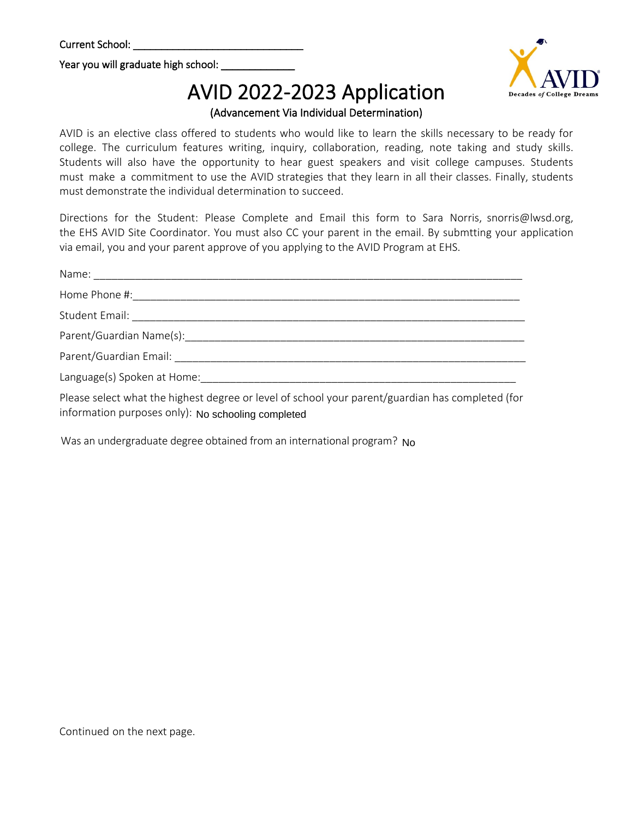Year you will graduate high school:

## AVID 2022-2023 Application

(Advancement Via Individual Determination)

AVID is an elective class offered to students who would like to learn the skills necessary to be ready for college. The curriculum features writing, inquiry, collaboration, reading, note taking and study skills. Students will also have the opportunity to hear guest speakers and visit college campuses. Students must make a commitment to use the AVID strategies that they learn in all their classes. Finally, students must demonstrate the individual determination to succeed.

Directions for the Student: Please Complete and Email this form to Sara Norris, snorris@lwsd.org, the EHS AVID Site Coordinator. You must also CC your parent in the email. By submtting your application via email, you and your parent approve of you applying to the AVID Program at EHS.

| Home Phone #:                                            |
|----------------------------------------------------------|
|                                                          |
| Parent/Guardian Name(s):                                 |
| Parent/Guardian Email: National Assembly Parent Assembly |
| Language(s) Spoken at Home:                              |

Please select what the highest degree or level of school your parent/guardian has completed (for information purposes only): No schooling completed

information purposes only): No <mark>schooling completed</mark><br>Was an undergraduate degree obtained from an international program? No

Continued on the next page.